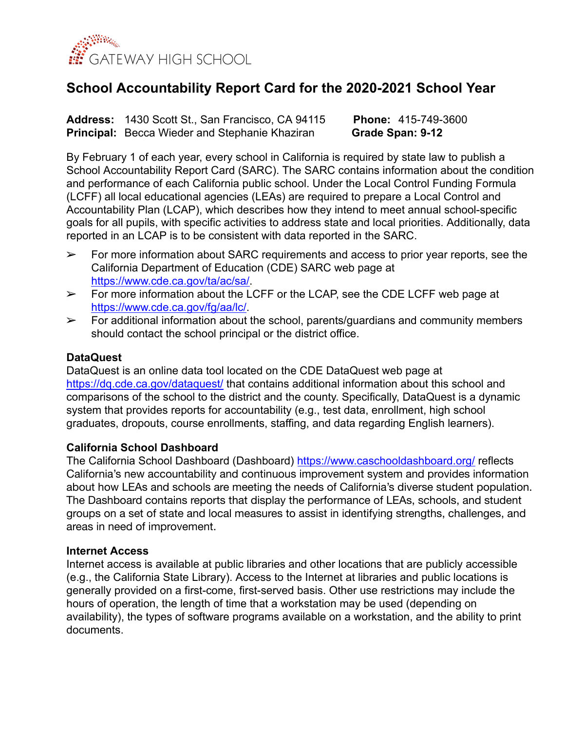

# **School Accountability Report Card for the 2020-2021 School Year**

**Address:** 1430 Scott St., San Francisco, CA 94115 **Phone:** 415-749-3600 **Principal:** Becca Wieder and Stephanie Khaziran **Grade Span: 9-12** 

By February 1 of each year, every school in California is required by state law to publish a School Accountability Report Card (SARC). The SARC contains information about the condition and performance of each California public school. Under the Local Control Funding Formula (LCFF) all local educational agencies (LEAs) are required to prepare a Local Control and Accountability Plan (LCAP), which describes how they intend to meet annual school-specific goals for all pupils, with specific activities to address state and local priorities. Additionally, data reported in an LCAP is to be consistent with data reported in the SARC.

- $\triangleright$  For more information about SARC requirements and access to prior year reports, see the California Department of Education (CDE) SARC web page at [https://www.cde.ca.gov/ta/ac/sa/.](https://www.cde.ca.gov/ta/ac/sa/)
- $\geq$  For more information about the LCFF or the LCAP, see the CDE LCFF web page at <https://www.cde.ca.gov/fg/aa/lc/>.
- $\triangleright$  For additional information about the school, parents/quardians and community members should contact the school principal or the district office.

### **DataQuest**

DataQuest is an online data tool located on the CDE DataQuest web page at https://dg.cde.ca.gov/dataquest/ that contains additional information about this school and comparisons of the school to the district and the county. Specifically, DataQuest is a dynamic system that provides reports for accountability (e.g., test data, enrollment, high school graduates, dropouts, course enrollments, staffing, and data regarding English learners).

### **California School Dashboard**

The California School Dashboard (Dashboard) <https://www.caschooldashboard.org/> reflects California's new accountability and continuous improvement system and provides information about how LEAs and schools are meeting the needs of California's diverse student population. The Dashboard contains reports that display the performance of LEAs, schools, and student groups on a set of state and local measures to assist in identifying strengths, challenges, and areas in need of improvement.

### **Internet Access**

Internet access is available at public libraries and other locations that are publicly accessible (e.g., the California State Library). Access to the Internet at libraries and public locations is generally provided on a first-come, first-served basis. Other use restrictions may include the hours of operation, the length of time that a workstation may be used (depending on availability), the types of software programs available on a workstation, and the ability to print documents.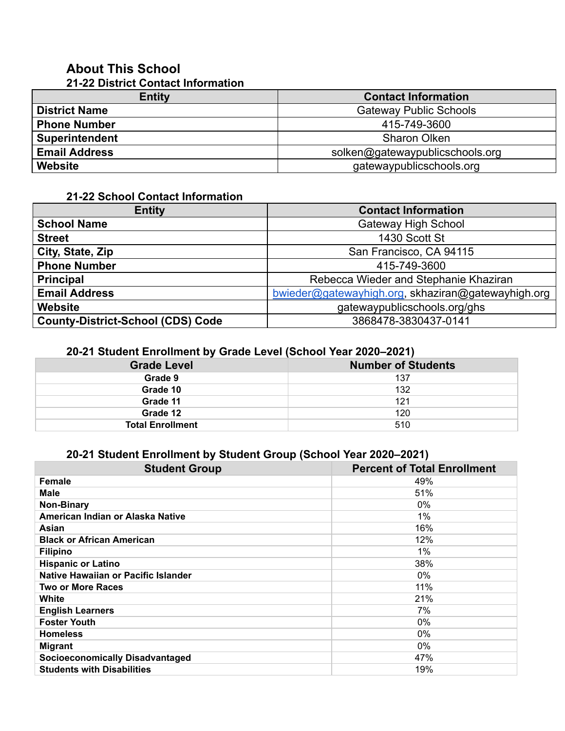#### **About This School 21-22 District Contact Information**

| $\blacksquare$ $\blacksquare$ $\blacksquare$ $\blacksquare$ $\blacksquare$ $\blacksquare$ $\blacksquare$ $\blacksquare$ $\blacksquare$ $\blacksquare$ $\blacksquare$ $\blacksquare$ $\blacksquare$ $\blacksquare$ $\blacksquare$ $\blacksquare$ $\blacksquare$ $\blacksquare$ $\blacksquare$ $\blacksquare$ $\blacksquare$ $\blacksquare$ $\blacksquare$ $\blacksquare$ $\blacksquare$ $\blacksquare$ $\blacksquare$ $\blacksquare$ $\blacksquare$ $\blacksquare$ $\blacksquare$ $\blacks$ |                                 |
|--------------------------------------------------------------------------------------------------------------------------------------------------------------------------------------------------------------------------------------------------------------------------------------------------------------------------------------------------------------------------------------------------------------------------------------------------------------------------------------------|---------------------------------|
| <b>Entity</b>                                                                                                                                                                                                                                                                                                                                                                                                                                                                              | <b>Contact Information</b>      |
| <b>District Name</b>                                                                                                                                                                                                                                                                                                                                                                                                                                                                       | <b>Gateway Public Schools</b>   |
| <b>Phone Number</b>                                                                                                                                                                                                                                                                                                                                                                                                                                                                        | 415-749-3600                    |
| <b>Superintendent</b>                                                                                                                                                                                                                                                                                                                                                                                                                                                                      | <b>Sharon Olken</b>             |
| <b>Email Address</b>                                                                                                                                                                                                                                                                                                                                                                                                                                                                       | solken@gatewaypublicschools.org |
| <b>Website</b>                                                                                                                                                                                                                                                                                                                                                                                                                                                                             | gatewaypublicschools.org        |

# **21-22 School Contact Information**

| <b>Entity</b>                            | <b>Contact Information</b>                         |  |  |  |
|------------------------------------------|----------------------------------------------------|--|--|--|
| <b>School Name</b>                       | <b>Gateway High School</b>                         |  |  |  |
| <b>Street</b>                            | 1430 Scott St                                      |  |  |  |
| City, State, Zip                         | San Francisco, CA 94115                            |  |  |  |
| <b>Phone Number</b>                      | 415-749-3600                                       |  |  |  |
| <b>Principal</b>                         | Rebecca Wieder and Stephanie Khaziran              |  |  |  |
| <b>Email Address</b>                     | bwieder@gatewayhigh.org, skhaziran@gatewayhigh.org |  |  |  |
| Website                                  | gatewaypublicschools.org/ghs                       |  |  |  |
| <b>County-District-School (CDS) Code</b> | 3868478-3830437-0141                               |  |  |  |

## **20-21 Student Enrollment by Grade Level (School Year 2020–2021)**

| <b>Grade Level</b>      | <b>Number of Students</b> |
|-------------------------|---------------------------|
| Grade 9                 | 137                       |
| Grade 10                | 132                       |
| Grade 11                | 121                       |
| Grade 12                | 120                       |
| <b>Total Enrollment</b> | 510                       |

# **20-21 Student Enrollment by Student Group (School Year 2020–2021)**

| <b>Student Group</b>                   | <b>Percent of Total Enrollment</b> |
|----------------------------------------|------------------------------------|
| Female                                 | 49%                                |
| <b>Male</b>                            | 51%                                |
| <b>Non-Binary</b>                      | 0%                                 |
| American Indian or Alaska Native       | 1%                                 |
| Asian                                  | 16%                                |
| <b>Black or African American</b>       | 12%                                |
| <b>Filipino</b>                        | 1%                                 |
| <b>Hispanic or Latino</b>              | 38%                                |
| Native Hawaiian or Pacific Islander    | $0\%$                              |
| <b>Two or More Races</b>               | 11%                                |
| White                                  | 21%                                |
| <b>English Learners</b>                | 7%                                 |
| <b>Foster Youth</b>                    | $0\%$                              |
| <b>Homeless</b>                        | $0\%$                              |
| <b>Migrant</b>                         | $0\%$                              |
| <b>Socioeconomically Disadvantaged</b> | 47%                                |
| <b>Students with Disabilities</b>      | 19%                                |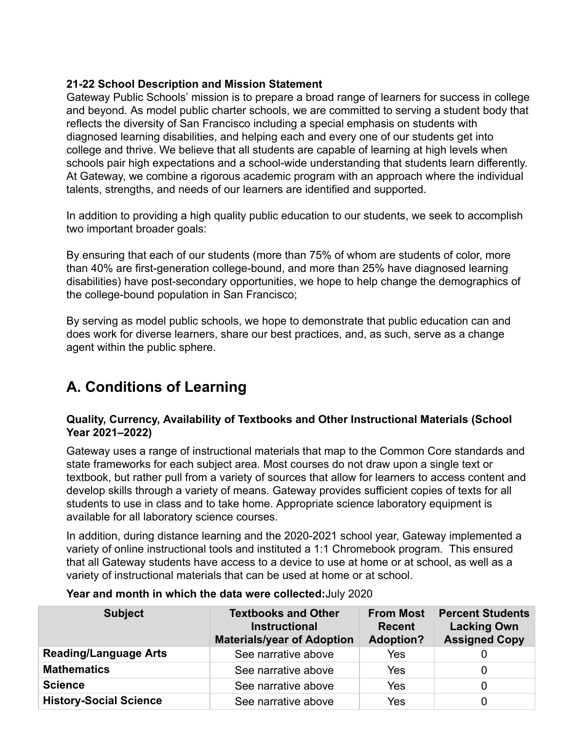### **21-22 School Description and Mission Statement**

Gateway Public Schools' mission is to prepare a broad range of learners for success in college and beyond. As model public charter schools, we are committed to serving a student body that reflects the diversity of San Francisco including a special emphasis on students with diagnosed learning disabilities, and helping each and every one of our students get into college and thrive. We believe that all students are capable of learning at high levels when schools pair high expectations and a school-wide understanding that students learn differently. At Gateway, we combine a rigorous academic program with an approach where the individual talents, strengths, and needs of our learners are identified and supported.

In addition to providing a high quality public education to our students, we seek to accomplish two important broader goals:

By ensuring that each of our students (more than 75% of whom are students of color, more than 40% are first-generation college-bound, and more than 25% have diagnosed learning disabilities) have post-secondary opportunities, we hope to help change the demographics of the college-bound population in San Francisco;

By serving as model public schools, we hope to demonstrate that public education can and does work for diverse learners, share our best practices, and, as such, serve as a change agent within the public sphere.

# **A. Conditions of Learning**

### **Quality, Currency, Availability of Textbooks and Other Instructional Materials (School Year 2021–2022)**

Gateway uses a range of instructional materials that map to the Common Core standards and state frameworks for each subject area. Most courses do not draw upon a single text or textbook, but rather pull from a variety of sources that allow for learners to access content and develop skills through a variety of means. Gateway provides sufficient copies of texts for all students to use in class and to take home. Appropriate science laboratory equipment is available for all laboratory science courses.

In addition, during distance learning and the 2020-2021 school year, Gateway implemented a variety of online instructional tools and instituted a 1:1 Chromebook program. This ensured that all Gateway students have access to a device to use at home or at school, as well as a variety of instructional materials that can be used at home or at school.

| <b>Subject</b>                | <b>Textbooks and Other</b><br><b>Instructional</b><br><b>Materials/year of Adoption</b> | <b>From Most</b><br><b>Recent</b><br><b>Adoption?</b> | <b>Percent Students</b><br><b>Lacking Own</b><br><b>Assigned Copy</b> |
|-------------------------------|-----------------------------------------------------------------------------------------|-------------------------------------------------------|-----------------------------------------------------------------------|
| <b>Reading/Language Arts</b>  | See narrative above                                                                     | Yes                                                   |                                                                       |
| <b>Mathematics</b>            | See narrative above                                                                     | Yes                                                   |                                                                       |
| <b>Science</b>                | See narrative above                                                                     | Yes                                                   |                                                                       |
| <b>History-Social Science</b> | See narrative above                                                                     | Yes                                                   |                                                                       |

### **Year and month in which the data were collected:**July 2020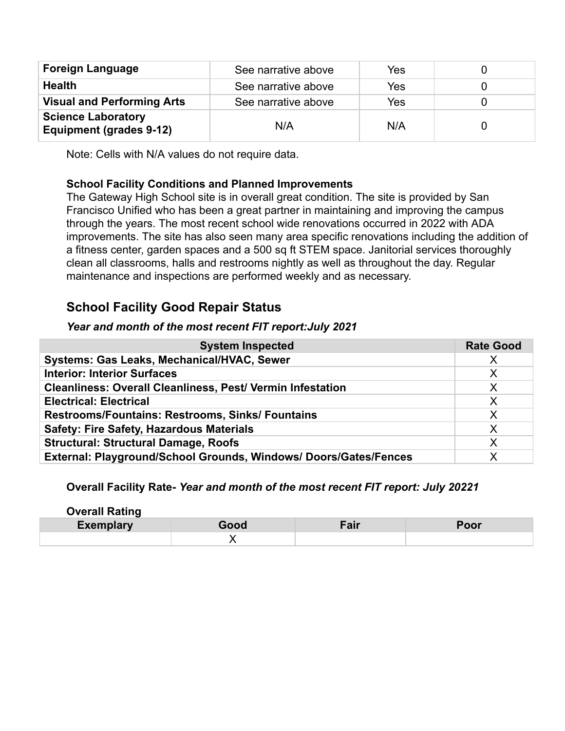| <b>Foreign Language</b>                                     | See narrative above | Yes |  |
|-------------------------------------------------------------|---------------------|-----|--|
| <b>Health</b>                                               | See narrative above | Yes |  |
| <b>Visual and Performing Arts</b>                           | See narrative above | Yes |  |
| <b>Science Laboratory</b><br><b>Equipment (grades 9-12)</b> | N/A                 | N/A |  |

Note: Cells with N/A values do not require data.

## **School Facility Conditions and Planned Improvements**

The Gateway High School site is in overall great condition. The site is provided by San Francisco Unified who has been a great partner in maintaining and improving the campus through the years. The most recent school wide renovations occurred in 2022 with ADA improvements. The site has also seen many area specific renovations including the addition of a fitness center, garden spaces and a 500 sq ft STEM space. Janitorial services thoroughly clean all classrooms, halls and restrooms nightly as well as throughout the day. Regular maintenance and inspections are performed weekly and as necessary.

# **School Facility Good Repair Status**

### *Year and month of the most recent FIT report:July 2021*

| <b>System Inspected</b>                                           | <b>Rate Good</b> |
|-------------------------------------------------------------------|------------------|
| Systems: Gas Leaks, Mechanical/HVAC, Sewer                        | X                |
| <b>Interior: Interior Surfaces</b>                                | X                |
| <b>Cleanliness: Overall Cleanliness, Pest/ Vermin Infestation</b> | X                |
| <b>Electrical: Electrical</b>                                     | X                |
| <b>Restrooms/Fountains: Restrooms, Sinks/ Fountains</b>           | X                |
| <b>Safety: Fire Safety, Hazardous Materials</b>                   | X                |
| <b>Structural: Structural Damage, Roofs</b>                       | Χ                |
| External: Playground/School Grounds, Windows/ Doors/Gates/Fences  |                  |

### **Overall Facility Rate-** *Year and month of the most recent FIT report: July 20221*

| <b>Overall Rating</b> |      |      |      |
|-----------------------|------|------|------|
| <b>Exemplary</b>      | Good | Fair | Poor |
|                       |      |      |      |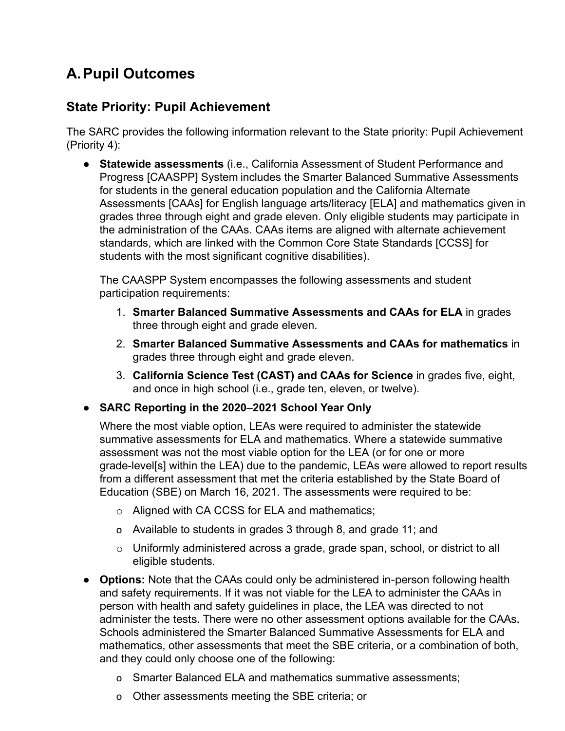# **A.Pupil Outcomes**

# **State Priority: Pupil Achievement**

The SARC provides the following information relevant to the State priority: Pupil Achievement (Priority 4):

● **Statewide assessments** (i.e., California Assessment of Student Performance and Progress [CAASPP] System includes the Smarter Balanced Summative Assessments for students in the general education population and the California Alternate Assessments [CAAs] for English language arts/literacy [ELA] and mathematics given in grades three through eight and grade eleven. Only eligible students may participate in the administration of the CAAs. CAAs items are aligned with alternate achievement standards, which are linked with the Common Core State Standards [CCSS] for students with the most significant cognitive disabilities).

The CAASPP System encompasses the following assessments and student participation requirements:

- 1. **Smarter Balanced Summative Assessments and CAAs for ELA** in grades three through eight and grade eleven.
- 2. **Smarter Balanced Summative Assessments and CAAs for mathematics** in grades three through eight and grade eleven.
- 3. **California Science Test (CAST) and CAAs for Science** in grades five, eight, and once in high school (i.e., grade ten, eleven, or twelve).
- **SARC Reporting in the 2020–2021 School Year Only**

Where the most viable option, LEAs were required to administer the statewide summative assessments for ELA and mathematics. Where a statewide summative assessment was not the most viable option for the LEA (or for one or more grade-level[s] within the LEA) due to the pandemic, LEAs were allowed to report results from a different assessment that met the criteria established by the State Board of Education (SBE) on March 16, 2021. The assessments were required to be:

- o Aligned with CA CCSS for ELA and mathematics;
- o Available to students in grades 3 through 8, and grade 11; and
- o Uniformly administered across a grade, grade span, school, or district to all eligible students.
- **Options:** Note that the CAAs could only be administered in-person following health and safety requirements. If it was not viable for the LEA to administer the CAAs in person with health and safety guidelines in place, the LEA was directed to not administer the tests. There were no other assessment options available for the CAAs. Schools administered the Smarter Balanced Summative Assessments for ELA and mathematics, other assessments that meet the SBE criteria, or a combination of both, and they could only choose one of the following:
	- o Smarter Balanced ELA and mathematics summative assessments;
	- o Other assessments meeting the SBE criteria; or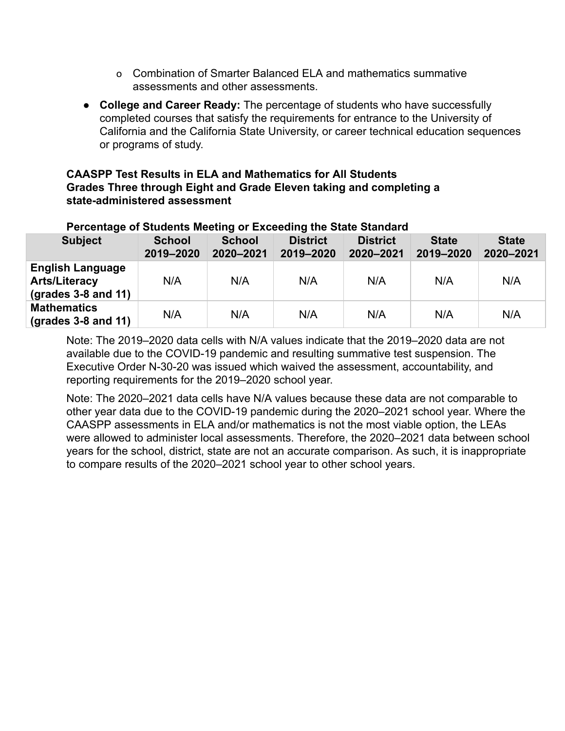- o Combination of Smarter Balanced ELA and mathematics summative assessments and other assessments.
- **College and Career Ready:** The percentage of students who have successfully completed courses that satisfy the requirements for entrance to the University of California and the California State University, or career technical education sequences or programs of study.

### **CAASPP Test Results in ELA and Mathematics for All Students Grades Three through Eight and Grade Eleven taking and completing a state-administered assessment**

| Percentage of Students Meeting or Exceeding the State Standard                          |                            |                            |                              |                              |                           |                           |  |
|-----------------------------------------------------------------------------------------|----------------------------|----------------------------|------------------------------|------------------------------|---------------------------|---------------------------|--|
| <b>Subject</b>                                                                          | <b>School</b><br>2019-2020 | <b>School</b><br>2020-2021 | <b>District</b><br>2019-2020 | <b>District</b><br>2020-2021 | <b>State</b><br>2019-2020 | <b>State</b><br>2020-2021 |  |
| <b>English Language</b><br><b>Arts/Literacy</b><br>$\left($ grades 3-8 and 11 $\right)$ | N/A                        | N/A                        | N/A                          | N/A                          | N/A                       | N/A                       |  |
| <b>Mathematics</b><br>$\left($ grades 3-8 and 11)                                       | N/A                        | N/A                        | N/A                          | N/A                          | N/A                       | N/A                       |  |

# **Percentage of Students Meeting or Exceeding the State Standard**

Note: The 2019–2020 data cells with N/A values indicate that the 2019–2020 data are not available due to the COVID-19 pandemic and resulting summative test suspension. The Executive Order N-30-20 was issued which waived the assessment, accountability, and reporting requirements for the 2019–2020 school year.

Note: The 2020–2021 data cells have N/A values because these data are not comparable to other year data due to the COVID-19 pandemic during the 2020–2021 school year. Where the CAASPP assessments in ELA and/or mathematics is not the most viable option, the LEAs were allowed to administer local assessments. Therefore, the 2020–2021 data between school years for the school, district, state are not an accurate comparison. As such, it is inappropriate to compare results of the 2020–2021 school year to other school years.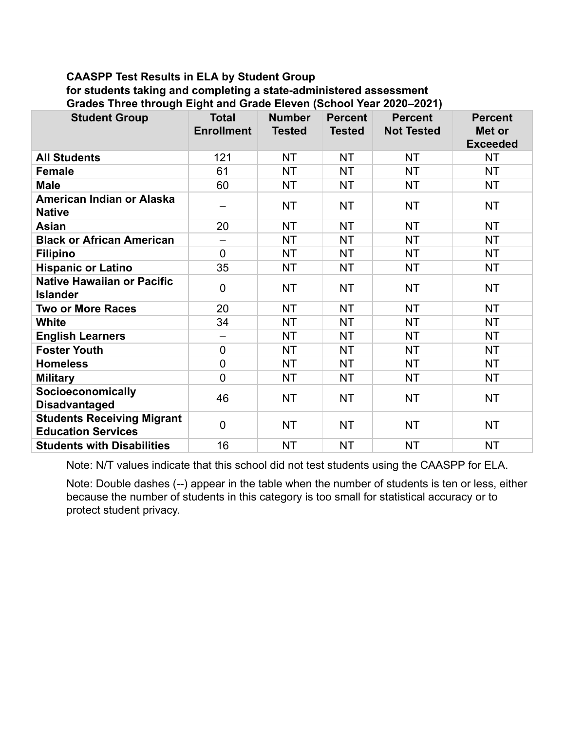### **CAASPP Test Results in ELA by Student Group for students taking and completing a state-administered assessment Grades Three through Eight and Grade Eleven (School Year 2020–2021)**

| <b>Student Group</b>                                           | <b>Total</b><br><b>Enrollment</b> | <b>Number</b><br><b>Tested</b> | <b>Percent</b><br><b>Tested</b> | <b>Percent</b><br><b>Not Tested</b> | <b>Percent</b><br>Met or<br><b>Exceeded</b> |
|----------------------------------------------------------------|-----------------------------------|--------------------------------|---------------------------------|-------------------------------------|---------------------------------------------|
| <b>All Students</b>                                            | 121                               | <b>NT</b>                      | <b>NT</b>                       | <b>NT</b>                           | <b>NT</b>                                   |
| <b>Female</b>                                                  | 61                                | <b>NT</b>                      | <b>NT</b>                       | <b>NT</b>                           | <b>NT</b>                                   |
| <b>Male</b>                                                    | 60                                | <b>NT</b>                      | <b>NT</b>                       | <b>NT</b>                           | <b>NT</b>                                   |
| American Indian or Alaska<br><b>Native</b>                     |                                   | <b>NT</b>                      | <b>NT</b>                       | <b>NT</b>                           | <b>NT</b>                                   |
| <b>Asian</b>                                                   | 20                                | <b>NT</b>                      | <b>NT</b>                       | <b>NT</b>                           | <b>NT</b>                                   |
| <b>Black or African American</b>                               | $\overline{\phantom{0}}$          | <b>NT</b>                      | ΝT                              | <b>NT</b>                           | <b>NT</b>                                   |
| <b>Filipino</b>                                                | $\mathbf 0$                       | <b>NT</b>                      | <b>NT</b>                       | <b>NT</b>                           | <b>NT</b>                                   |
| <b>Hispanic or Latino</b>                                      | 35                                | <b>NT</b>                      | ΝT                              | <b>NT</b>                           | NT                                          |
| <b>Native Hawaiian or Pacific</b><br><b>Islander</b>           | $\overline{0}$                    | <b>NT</b>                      | <b>NT</b>                       | <b>NT</b>                           | <b>NT</b>                                   |
| <b>Two or More Races</b>                                       | 20                                | <b>NT</b>                      | <b>NT</b>                       | <b>NT</b>                           | <b>NT</b>                                   |
| <b>White</b>                                                   | 34                                | <b>NT</b>                      | <b>NT</b>                       | <b>NT</b>                           | <b>NT</b>                                   |
| <b>English Learners</b>                                        | $\overline{\phantom{0}}$          | <b>NT</b>                      | <b>NT</b>                       | <b>NT</b>                           | <b>NT</b>                                   |
| <b>Foster Youth</b>                                            | $\overline{0}$                    | <b>NT</b>                      | <b>NT</b>                       | <b>NT</b>                           | <b>NT</b>                                   |
| <b>Homeless</b>                                                | $\overline{0}$                    | <b>NT</b>                      | <b>NT</b>                       | <b>NT</b>                           | <b>NT</b>                                   |
| <b>Military</b>                                                | $\overline{0}$                    | <b>NT</b>                      | <b>NT</b>                       | <b>NT</b>                           | <b>NT</b>                                   |
| Socioeconomically<br><b>Disadvantaged</b>                      | 46                                | <b>NT</b>                      | <b>NT</b>                       | <b>NT</b>                           | <b>NT</b>                                   |
| <b>Students Receiving Migrant</b><br><b>Education Services</b> | $\overline{0}$                    | <b>NT</b>                      | <b>NT</b>                       | <b>NT</b>                           | <b>NT</b>                                   |
| <b>Students with Disabilities</b>                              | 16                                | <b>NT</b>                      | <b>NT</b>                       | <b>NT</b>                           | <b>NT</b>                                   |

Note: N/T values indicate that this school did not test students using the CAASPP for ELA.

Note: Double dashes (--) appear in the table when the number of students is ten or less, either because the number of students in this category is too small for statistical accuracy or to protect student privacy.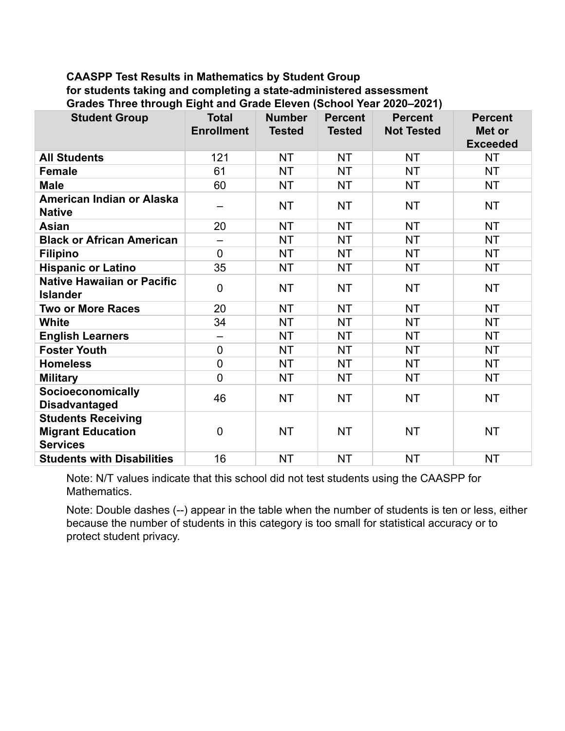### **CAASPP Test Results in Mathematics by Student Group for students taking and completing a state-administered assessment Grades Three through Eight and Grade Eleven (School Year 2020–2021)**

| <b>Student Group</b>                                                     | <b>Total</b><br><b>Enrollment</b> | <b>Number</b><br><b>Tested</b> | <b>Percent</b><br><b>Tested</b> | <b>Percent</b><br><b>Not Tested</b> | <b>Percent</b><br>Met or<br><b>Exceeded</b> |
|--------------------------------------------------------------------------|-----------------------------------|--------------------------------|---------------------------------|-------------------------------------|---------------------------------------------|
| <b>All Students</b>                                                      | 121                               | <b>NT</b>                      | <b>NT</b>                       | <b>NT</b>                           | <b>NT</b>                                   |
| <b>Female</b>                                                            | 61                                | <b>NT</b>                      | <b>NT</b>                       | <b>NT</b>                           | <b>NT</b>                                   |
| <b>Male</b>                                                              | 60                                | <b>NT</b>                      | <b>NT</b>                       | <b>NT</b>                           | <b>NT</b>                                   |
| American Indian or Alaska<br><b>Native</b>                               |                                   | <b>NT</b>                      | <b>NT</b>                       | <b>NT</b>                           | <b>NT</b>                                   |
| <b>Asian</b>                                                             | 20                                | <b>NT</b>                      | <b>NT</b>                       | <b>NT</b>                           | <b>NT</b>                                   |
| <b>Black or African American</b>                                         |                                   | <b>NT</b>                      | <b>NT</b>                       | <b>NT</b>                           | <b>NT</b>                                   |
| <b>Filipino</b>                                                          | $\overline{0}$                    | <b>NT</b>                      | <b>NT</b>                       | <b>NT</b>                           | <b>NT</b>                                   |
| <b>Hispanic or Latino</b>                                                | 35                                | <b>NT</b>                      | <b>NT</b>                       | <b>NT</b>                           | <b>NT</b>                                   |
| <b>Native Hawaiian or Pacific</b><br><b>Islander</b>                     | $\mathbf 0$                       | <b>NT</b>                      | <b>NT</b>                       | <b>NT</b>                           | <b>NT</b>                                   |
| <b>Two or More Races</b>                                                 | 20                                | <b>NT</b>                      | <b>NT</b>                       | <b>NT</b>                           | <b>NT</b>                                   |
| <b>White</b>                                                             | 34                                | <b>NT</b>                      | <b>NT</b>                       | <b>NT</b>                           | <b>NT</b>                                   |
| <b>English Learners</b>                                                  |                                   | <b>NT</b>                      | <b>NT</b>                       | <b>NT</b>                           | <b>NT</b>                                   |
| <b>Foster Youth</b>                                                      | $\overline{0}$                    | <b>NT</b>                      | <b>NT</b>                       | <b>NT</b>                           | <b>NT</b>                                   |
| <b>Homeless</b>                                                          | $\overline{0}$                    | <b>NT</b>                      | <b>NT</b>                       | <b>NT</b>                           | <b>NT</b>                                   |
| <b>Military</b>                                                          | $\overline{0}$                    | <b>NT</b>                      | <b>NT</b>                       | <b>NT</b>                           | <b>NT</b>                                   |
| Socioeconomically<br><b>Disadvantaged</b>                                | 46                                | <b>NT</b>                      | <b>NT</b>                       | <b>NT</b>                           | <b>NT</b>                                   |
| <b>Students Receiving</b><br><b>Migrant Education</b><br><b>Services</b> | $\mathbf 0$                       | <b>NT</b>                      | <b>NT</b>                       | <b>NT</b>                           | <b>NT</b>                                   |
| <b>Students with Disabilities</b>                                        | 16                                | <b>NT</b>                      | <b>NT</b>                       | <b>NT</b>                           | <b>NT</b>                                   |

Note: N/T values indicate that this school did not test students using the CAASPP for Mathematics.

Note: Double dashes (--) appear in the table when the number of students is ten or less, either because the number of students in this category is too small for statistical accuracy or to protect student privacy.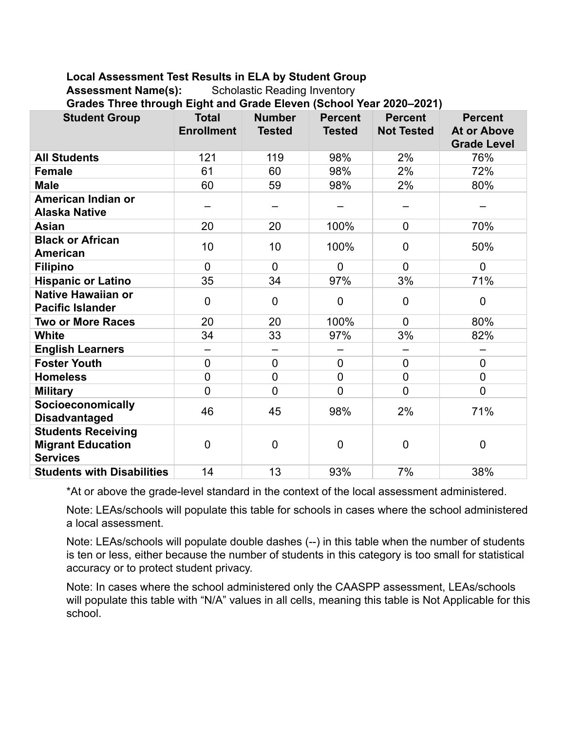## **Local Assessment Test Results in ELA by Student Group**

Assessment Name(s): Scholastic Reading Inventory

**Grades Three through Eight and Grade Eleven (School Year 2020–2021)**

| aaco milio ambagii Eigin and Orado Eiovon (Ochoor Ioan Evev Ioan)<br><b>Student Group</b> | <b>Total</b><br><b>Enrollment</b> | <b>Number</b><br><b>Tested</b> | <b>Percent</b><br><b>Tested</b> | <b>Percent</b><br><b>Not Tested</b> | <b>Percent</b><br><b>At or Above</b><br><b>Grade Level</b> |
|-------------------------------------------------------------------------------------------|-----------------------------------|--------------------------------|---------------------------------|-------------------------------------|------------------------------------------------------------|
| <b>All Students</b>                                                                       | 121                               | 119                            | 98%                             | 2%                                  | 76%                                                        |
| <b>Female</b>                                                                             | 61                                | 60                             | 98%                             | 2%                                  | 72%                                                        |
| <b>Male</b>                                                                               | 60                                | 59                             | 98%                             | 2%                                  | 80%                                                        |
| American Indian or<br><b>Alaska Native</b>                                                |                                   |                                |                                 |                                     |                                                            |
| <b>Asian</b>                                                                              | 20                                | 20                             | 100%                            | $\overline{0}$                      | 70%                                                        |
| <b>Black or African</b><br><b>American</b>                                                | 10                                | 10                             | 100%                            | $\mathbf 0$                         | 50%                                                        |
| <b>Filipino</b>                                                                           | $\overline{0}$                    | $\overline{0}$                 | $\overline{0}$                  | $\overline{0}$                      | $\mathbf 0$                                                |
| <b>Hispanic or Latino</b>                                                                 | 35                                | 34                             | 97%                             | 3%                                  | 71%                                                        |
| <b>Native Hawaiian or</b><br><b>Pacific Islander</b>                                      | $\overline{0}$                    | $\overline{0}$                 | $\mathbf 0$                     | $\mathbf 0$                         | $\mathbf 0$                                                |
| <b>Two or More Races</b>                                                                  | 20                                | 20                             | 100%                            | $\overline{0}$                      | 80%                                                        |
| <b>White</b>                                                                              | 34                                | 33                             | 97%                             | 3%                                  | 82%                                                        |
| <b>English Learners</b>                                                                   | $\overline{\phantom{0}}$          |                                |                                 | $\overline{\phantom{0}}$            |                                                            |
| <b>Foster Youth</b>                                                                       | $\overline{0}$                    | $\overline{0}$                 | $\overline{0}$                  | $\mathbf 0$                         | $\pmb{0}$                                                  |
| <b>Homeless</b>                                                                           | $\mathbf 0$                       | $\overline{0}$                 | $\overline{0}$                  | $\mathbf 0$                         | $\mathbf 0$                                                |
| <b>Military</b>                                                                           | $\overline{0}$                    | $\overline{0}$                 | $\overline{0}$                  | $\overline{0}$                      | $\overline{0}$                                             |
| <b>Socioeconomically</b><br><b>Disadvantaged</b>                                          | 46                                | 45                             | 98%                             | 2%                                  | 71%                                                        |
| <b>Students Receiving</b><br><b>Migrant Education</b><br><b>Services</b>                  | $\overline{0}$                    | $\overline{0}$                 | $\overline{0}$                  | $\overline{0}$                      | 0                                                          |
| <b>Students with Disabilities</b>                                                         | 14                                | 13                             | 93%                             | 7%                                  | 38%                                                        |

\*At or above the grade-level standard in the context of the local assessment administered.

Note: LEAs/schools will populate this table for schools in cases where the school administered a local assessment.

Note: LEAs/schools will populate double dashes (--) in this table when the number of students is ten or less, either because the number of students in this category is too small for statistical accuracy or to protect student privacy.

Note: In cases where the school administered only the CAASPP assessment, LEAs/schools will populate this table with "N/A" values in all cells, meaning this table is Not Applicable for this school.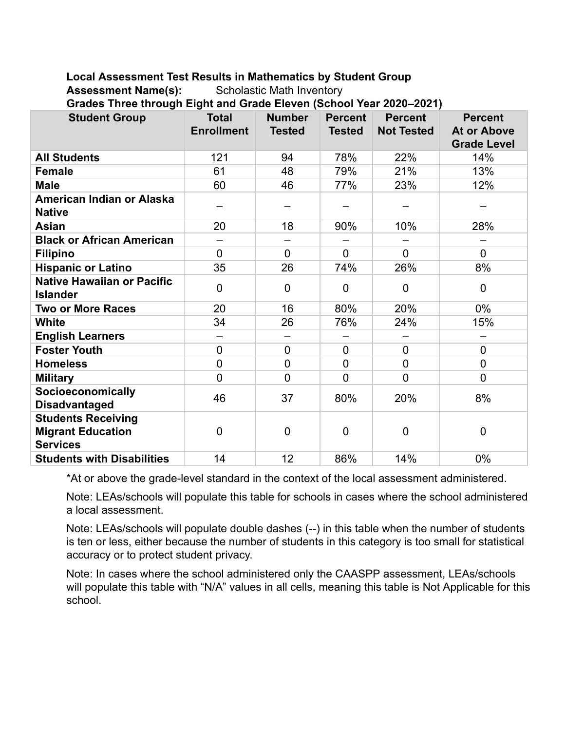**Local Assessment Test Results in Mathematics by Student Group**

Assessment Name(s): Scholastic Math Inventory

**Grades Three through Eight and Grade Eleven (School Year 2020–2021)**

| 0.0000 1.1100 0.100911 Eight and Orado Eleven (Ochool Teal Esse Zes I)<br><b>Student Group</b> | <b>Total</b>      | <b>Number</b>  | <b>Percent</b> | <b>Percent</b>    | <b>Percent</b>     |
|------------------------------------------------------------------------------------------------|-------------------|----------------|----------------|-------------------|--------------------|
|                                                                                                | <b>Enrollment</b> | <b>Tested</b>  | <b>Tested</b>  | <b>Not Tested</b> | <b>At or Above</b> |
|                                                                                                |                   |                |                |                   | <b>Grade Level</b> |
| <b>All Students</b>                                                                            | 121               | 94             | 78%            | 22%               | 14%                |
| <b>Female</b>                                                                                  | 61                | 48             | 79%            | 21%               | 13%                |
| <b>Male</b>                                                                                    | 60                | 46             | 77%            | 23%               | 12%                |
| American Indian or Alaska<br><b>Native</b>                                                     |                   |                |                |                   |                    |
| <b>Asian</b>                                                                                   | 20                | 18             | 90%            | 10%               | 28%                |
| <b>Black or African American</b>                                                               |                   |                |                |                   |                    |
| <b>Filipino</b>                                                                                | $\Omega$          | $\Omega$       | $\overline{0}$ | $\overline{0}$    | $\overline{0}$     |
| <b>Hispanic or Latino</b>                                                                      | 35                | 26             | 74%            | 26%               | 8%                 |
| <b>Native Hawaiian or Pacific</b><br><b>Islander</b>                                           | $\mathbf 0$       | $\mathbf 0$    | $\overline{0}$ | $\mathbf 0$       | $\mathbf 0$        |
| <b>Two or More Races</b>                                                                       | 20                | 16             | 80%            | 20%               | 0%                 |
| <b>White</b>                                                                                   | 34                | 26             | 76%            | 24%               | 15%                |
| <b>English Learners</b>                                                                        |                   |                |                |                   |                    |
| <b>Foster Youth</b>                                                                            | $\overline{0}$    | $\overline{0}$ | $\overline{0}$ | $\overline{0}$    | $\mathbf 0$        |
| <b>Homeless</b>                                                                                | $\overline{0}$    | $\mathbf 0$    | $\overline{0}$ | $\overline{0}$    | 0                  |
| <b>Military</b>                                                                                | $\overline{0}$    | $\overline{0}$ | $\overline{0}$ | $\overline{0}$    | $\overline{0}$     |
| Socioeconomically<br><b>Disadvantaged</b>                                                      | 46                | 37             | 80%            | 20%               | 8%                 |
| <b>Students Receiving</b><br><b>Migrant Education</b><br><b>Services</b>                       | $\mathbf 0$       | $\mathbf 0$    | $\overline{0}$ | $\mathbf 0$       | $\mathbf 0$        |
| <b>Students with Disabilities</b>                                                              | 14                | 12             | 86%            | 14%               | 0%                 |

\*At or above the grade-level standard in the context of the local assessment administered.

Note: LEAs/schools will populate this table for schools in cases where the school administered a local assessment.

Note: LEAs/schools will populate double dashes (--) in this table when the number of students is ten or less, either because the number of students in this category is too small for statistical accuracy or to protect student privacy.

Note: In cases where the school administered only the CAASPP assessment, LEAs/schools will populate this table with "N/A" values in all cells, meaning this table is Not Applicable for this school.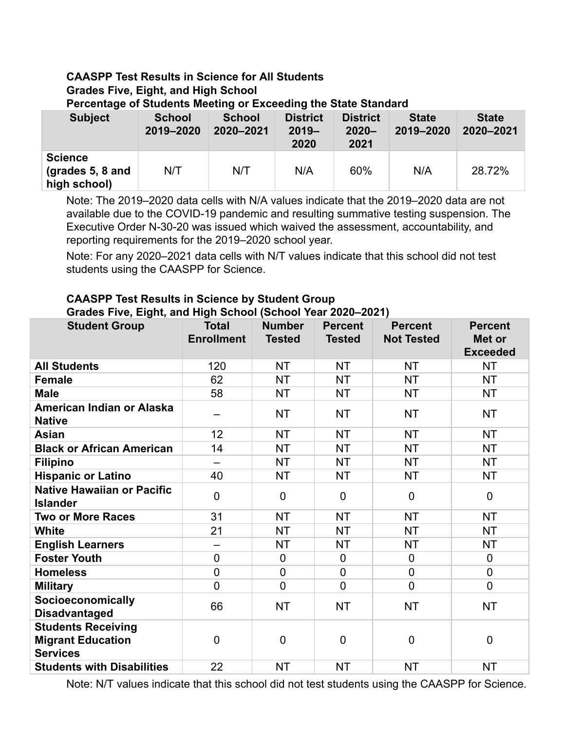### **CAASPP Test Results in Science for All Students Grades Five, Eight, and High School Percentage of Students Meeting or Exceeding the State Standard**

| <b>Subject</b>                                     | <b>School</b><br>2019-2020 | <b>School</b><br>2020-2021 | <b>District</b><br>$2019 -$<br>2020 | <b>District</b><br>$2020 -$<br>2021 | <b>State</b><br>2019-2020 | <b>State</b><br>2020-2021 |
|----------------------------------------------------|----------------------------|----------------------------|-------------------------------------|-------------------------------------|---------------------------|---------------------------|
| <b>Science</b><br>(grades 5, 8 and<br>high school) | N/T                        | N/T                        | N/A                                 | 60%                                 | N/A                       | 28.72%                    |

Note: The 2019–2020 data cells with N/A values indicate that the 2019–2020 data are not available due to the COVID-19 pandemic and resulting summative testing suspension. The Executive Order N-30-20 was issued which waived the assessment, accountability, and reporting requirements for the 2019–2020 school year.

Note: For any 2020–2021 data cells with N/T values indicate that this school did not test students using the CAASPP for Science.

# **CAASPP Test Results in Science by Student Group**

| Grades Five, Eight, and High School (School Year 2020-2021)              |                                   |                                |                                 |                                     |                                             |  |  |  |
|--------------------------------------------------------------------------|-----------------------------------|--------------------------------|---------------------------------|-------------------------------------|---------------------------------------------|--|--|--|
| <b>Student Group</b>                                                     | <b>Total</b><br><b>Enrollment</b> | <b>Number</b><br><b>Tested</b> | <b>Percent</b><br><b>Tested</b> | <b>Percent</b><br><b>Not Tested</b> | <b>Percent</b><br>Met or<br><b>Exceeded</b> |  |  |  |
| <b>All Students</b>                                                      | 120                               | <b>NT</b>                      | <b>NT</b>                       | <b>NT</b>                           | <b>NT</b>                                   |  |  |  |
| <b>Female</b>                                                            | 62                                | NT                             | NT.                             | NT.                                 | NT.                                         |  |  |  |
| <b>Male</b>                                                              | 58                                | <b>NT</b>                      | <b>NT</b>                       | <b>NT</b>                           | NT.                                         |  |  |  |
| American Indian or Alaska<br><b>Native</b>                               |                                   | NT                             | NT.                             | <b>NT</b>                           | <b>NT</b>                                   |  |  |  |
| Asian                                                                    | 12                                | NT                             | <b>NT</b>                       | NT.                                 | NT.                                         |  |  |  |
| <b>Black or African American</b>                                         | 14                                | <b>NT</b>                      | NT.                             | NT.                                 | <b>NT</b>                                   |  |  |  |
| <b>Filipino</b>                                                          | —                                 | NT                             | NT.                             | NT.                                 | NT                                          |  |  |  |
| <b>Hispanic or Latino</b>                                                | 40                                | NT                             | <b>NT</b>                       | NT.                                 | NT.                                         |  |  |  |
| <b>Native Hawaiian or Pacific</b><br><b>Islander</b>                     | $\Omega$                          | $\mathbf 0$                    | $\Omega$                        | $\mathbf{0}$                        | 0                                           |  |  |  |
| <b>Two or More Races</b>                                                 | 31                                | <b>NT</b>                      | <b>NT</b>                       | <b>NT</b>                           | NT.                                         |  |  |  |
| <b>White</b>                                                             | 21                                | <b>NT</b>                      | <b>NT</b>                       | <b>NT</b>                           | <b>NT</b>                                   |  |  |  |
| <b>English Learners</b>                                                  |                                   | <b>NT</b>                      | <b>NT</b>                       | <b>NT</b>                           | <b>NT</b>                                   |  |  |  |
| <b>Foster Youth</b>                                                      | $\mathbf 0$                       | $\mathbf 0$                    | $\mathbf 0$                     | $\mathbf{0}$                        | $\overline{0}$                              |  |  |  |
| <b>Homeless</b>                                                          | $\mathbf 0$                       | $\mathbf 0$                    | $\overline{0}$                  | $\mathbf 0$                         | $\overline{0}$                              |  |  |  |
| <b>Military</b>                                                          | $\overline{0}$                    | $\mathbf 0$                    | 0                               | $\overline{0}$                      | $\overline{0}$                              |  |  |  |
| Socioeconomically<br><b>Disadvantaged</b>                                | 66                                | <b>NT</b>                      | <b>NT</b>                       | <b>NT</b>                           | <b>NT</b>                                   |  |  |  |
| <b>Students Receiving</b><br><b>Migrant Education</b><br><b>Services</b> | $\mathbf 0$                       | $\mathbf 0$                    | 0                               | $\mathbf 0$                         | $\mathbf 0$                                 |  |  |  |

Note: N/T values indicate that this school did not test students using the CAASPP for Science.

**Students with Disabilities**  $\begin{array}{ccc} 22 & NT & NT & NT \\ \end{array}$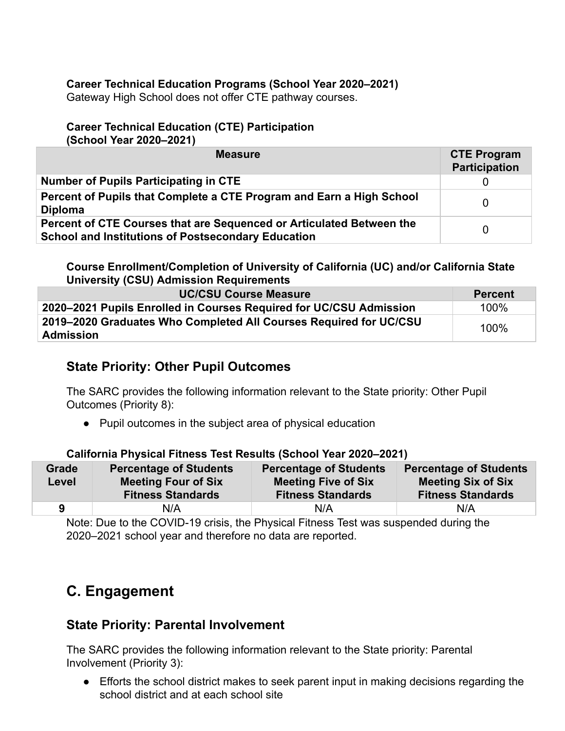## **Career Technical Education Programs (School Year 2020–2021)**

Gateway High School does not offer CTE pathway courses.

# **Career Technical Education (CTE) Participation**

**(School Year 2020–2021)**

| <b>Measure</b>                                                                                                                    | <b>CTE Program</b><br><b>Participation</b> |
|-----------------------------------------------------------------------------------------------------------------------------------|--------------------------------------------|
| Number of Pupils Participating in CTE                                                                                             |                                            |
| Percent of Pupils that Complete a CTE Program and Earn a High School<br><b>Diploma</b>                                            | 0                                          |
| Percent of CTE Courses that are Sequenced or Articulated Between the<br><b>School and Institutions of Postsecondary Education</b> | 0                                          |

**Course Enrollment/Completion of University of California (UC) and/or California State University (CSU) Admission Requirements**

| <b>UC/CSU Course Measure</b>                                                          | <b>Percent</b> |
|---------------------------------------------------------------------------------------|----------------|
| 2020–2021 Pupils Enrolled in Courses Required for UC/CSU Admission                    | 100%           |
| 2019–2020 Graduates Who Completed All Courses Required for UC/CSU<br><b>Admission</b> | 100%           |

# **State Priority: Other Pupil Outcomes**

The SARC provides the following information relevant to the State priority: Other Pupil Outcomes (Priority 8):

**●** Pupil outcomes in the subject area of physical education

### **California Physical Fitness Test Results (School Year 2020–2021)**

| <b>Grade</b><br>Level | <b>Percentage of Students</b><br><b>Meeting Four of Six</b><br><b>Fitness Standards</b> | <b>Percentage of Students</b><br><b>Meeting Five of Six</b><br><b>Fitness Standards</b> | <b>Percentage of Students</b><br><b>Meeting Six of Six</b><br><b>Fitness Standards</b> |
|-----------------------|-----------------------------------------------------------------------------------------|-----------------------------------------------------------------------------------------|----------------------------------------------------------------------------------------|
|                       | N/A                                                                                     | N/A                                                                                     | N/A                                                                                    |

Note: Due to the COVID-19 crisis, the Physical Fitness Test was suspended during the 2020–2021 school year and therefore no data are reported.

# **C. Engagement**

# **State Priority: Parental Involvement**

The SARC provides the following information relevant to the State priority: Parental Involvement (Priority 3):

● Efforts the school district makes to seek parent input in making decisions regarding the school district and at each school site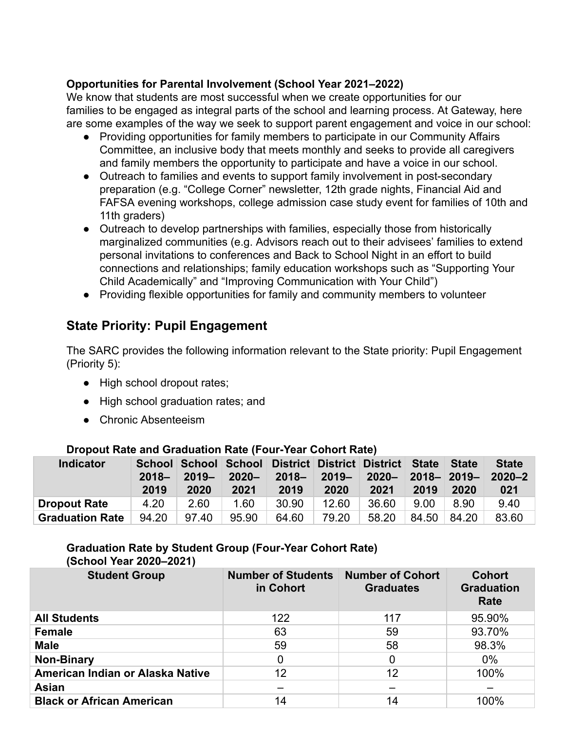## **Opportunities for Parental Involvement (School Year 2021–2022)**

We know that students are most successful when we create opportunities for our families to be engaged as integral parts of the school and learning process. At Gateway, here are some examples of the way we seek to support parent engagement and voice in our school:

- Providing opportunities for family members to participate in our Community Affairs Committee, an inclusive body that meets monthly and seeks to provide all caregivers and family members the opportunity to participate and have a voice in our school.
- Outreach to families and events to support family involvement in post-secondary preparation (e.g. "College Corner" newsletter, 12th grade nights, Financial Aid and FAFSA evening workshops, college admission case study event for families of 10th and 11th graders)
- Outreach to develop partnerships with families, especially those from historically marginalized communities (e.g. Advisors reach out to their advisees' families to extend personal invitations to conferences and Back to School Night in an effort to build connections and relationships; family education workshops such as "Supporting Your Child Academically" and "Improving Communication with Your Child")
- Providing flexible opportunities for family and community members to volunteer

# **State Priority: Pupil Engagement**

The SARC provides the following information relevant to the State priority: Pupil Engagement (Priority 5):

- High school dropout rates;
- High school graduation rates; and
- Chronic Absenteeism

|                        |                  | $-$ . The same complete $\sim$ . The same contract of the same $\sim$ . The same contract of the same contract of the same contract of the same contract of the same contract of the same contract of the same contract of the sa |                  |                                                                     |                                         |       |      |             |                     |  |
|------------------------|------------------|-----------------------------------------------------------------------------------------------------------------------------------------------------------------------------------------------------------------------------------|------------------|---------------------------------------------------------------------|-----------------------------------------|-------|------|-------------|---------------------|--|
| <b>Indicator</b>       | $2018 -$<br>2019 | $2019 -$<br>2020                                                                                                                                                                                                                  | $2020 -$<br>2021 | School School School District District District State State<br>2019 | 2018-2019-2020-2018-2019-2020-2<br>2020 | 2021  | 2019 | 2020        | <b>State</b><br>021 |  |
| <b>Dropout Rate</b>    | 4.20             | 2.60                                                                                                                                                                                                                              | 1.60             | 30.90                                                               | 12.60                                   | 36.60 | 9.00 | 8.90        | 9.40                |  |
| <b>Graduation Rate</b> | 94.20 97.40      |                                                                                                                                                                                                                                   | 95.90            | 64.60                                                               | 79.20                                   | 58.20 |      | 84.50 84.20 | 83.60               |  |

### **Dropout Rate and Graduation Rate (Four-Year Cohort Rate)**

# **Graduation Rate by Student Group (Four-Year Cohort Rate)**

**(School Year 2020–2021)**

| <b>Student Group</b>             | <b>Number of Students</b><br>in Cohort | <b>Number of Cohort</b><br><b>Graduates</b> | <b>Cohort</b><br><b>Graduation</b><br>Rate |
|----------------------------------|----------------------------------------|---------------------------------------------|--------------------------------------------|
| <b>All Students</b>              | 122                                    | 117                                         | 95.90%                                     |
| <b>Female</b>                    | 63                                     | 59                                          | 93.70%                                     |
| <b>Male</b>                      | 59                                     | 58                                          | 98.3%                                      |
| <b>Non-Binary</b>                | 0                                      | 0                                           | $0\%$                                      |
| American Indian or Alaska Native | 12                                     | 12                                          | 100%                                       |
| <b>Asian</b>                     |                                        |                                             |                                            |
| <b>Black or African American</b> | 14                                     | 14                                          | 100%                                       |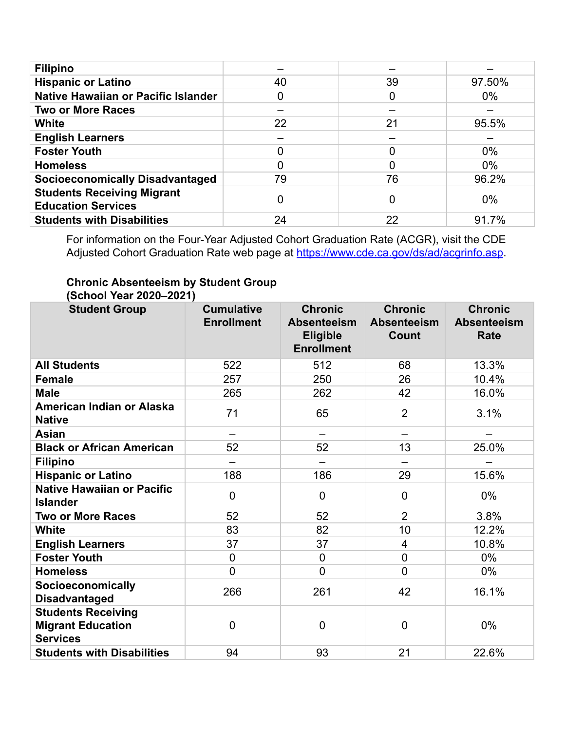| <b>Filipino</b>                                                |    |    |        |
|----------------------------------------------------------------|----|----|--------|
| <b>Hispanic or Latino</b>                                      | 40 | 39 | 97.50% |
| Native Hawaiian or Pacific Islander                            | 0  | 0  | $0\%$  |
| <b>Two or More Races</b>                                       |    |    |        |
| White                                                          | 22 | 21 | 95.5%  |
| <b>English Learners</b>                                        |    |    |        |
| <b>Foster Youth</b>                                            |    |    | $0\%$  |
| <b>Homeless</b>                                                |    |    | $0\%$  |
| <b>Socioeconomically Disadvantaged</b>                         | 79 | 76 | 96.2%  |
| <b>Students Receiving Migrant</b><br><b>Education Services</b> |    | 0  | 0%     |
| <b>Students with Disabilities</b>                              | 24 | 22 | 91.7%  |

For information on the Four-Year Adjusted Cohort Graduation Rate (ACGR), visit the CDE Adjusted Cohort Graduation Rate web page at <https://www.cde.ca.gov/ds/ad/acgrinfo.asp>.

#### **Chronic Absenteeism by Student Group (School Year 2020–2021)**

| <b>Student Group</b>                                                     | <b>Cumulative</b><br><b>Enrollment</b> | <b>Chronic</b><br><b>Absenteeism</b><br><b>Eligible</b><br><b>Enrollment</b> | <b>Chronic</b><br>Absenteeism<br><b>Count</b> | <b>Chronic</b><br><b>Absenteeism</b><br>Rate |
|--------------------------------------------------------------------------|----------------------------------------|------------------------------------------------------------------------------|-----------------------------------------------|----------------------------------------------|
| <b>All Students</b>                                                      | 522                                    | 512                                                                          | 68                                            | 13.3%                                        |
| <b>Female</b>                                                            | 257                                    | 250                                                                          | 26                                            | 10.4%                                        |
| <b>Male</b>                                                              | 265                                    | 262                                                                          | 42                                            | 16.0%                                        |
| American Indian or Alaska<br><b>Native</b>                               | 71                                     | 65                                                                           | $\overline{2}$                                | 3.1%                                         |
| Asian                                                                    |                                        |                                                                              |                                               |                                              |
| <b>Black or African American</b>                                         | 52                                     | 52                                                                           | 13                                            | 25.0%                                        |
| <b>Filipino</b>                                                          |                                        |                                                                              |                                               |                                              |
| <b>Hispanic or Latino</b>                                                | 188                                    | 186                                                                          | 29                                            | 15.6%                                        |
| <b>Native Hawaiian or Pacific</b><br><b>Islander</b>                     | $\overline{0}$                         | $\overline{0}$                                                               | $\overline{0}$                                | $0\%$                                        |
| <b>Two or More Races</b>                                                 | 52                                     | 52                                                                           | $\overline{2}$                                | 3.8%                                         |
| <b>White</b>                                                             | 83                                     | 82                                                                           | 10                                            | 12.2%                                        |
| <b>English Learners</b>                                                  | 37                                     | 37                                                                           | $\overline{4}$                                | 10.8%                                        |
| <b>Foster Youth</b>                                                      | $\overline{0}$                         | $\mathbf 0$                                                                  | $\overline{0}$                                | $0\%$                                        |
| <b>Homeless</b>                                                          | $\Omega$                               | $\overline{0}$                                                               | $\overline{0}$                                | 0%                                           |
| Socioeconomically<br><b>Disadvantaged</b>                                | 266                                    | 261                                                                          | 42                                            | 16.1%                                        |
| <b>Students Receiving</b><br><b>Migrant Education</b><br><b>Services</b> | $\overline{0}$                         | 0                                                                            | $\overline{0}$                                | 0%                                           |
| <b>Students with Disabilities</b>                                        | 94                                     | 93                                                                           | 21                                            | 22.6%                                        |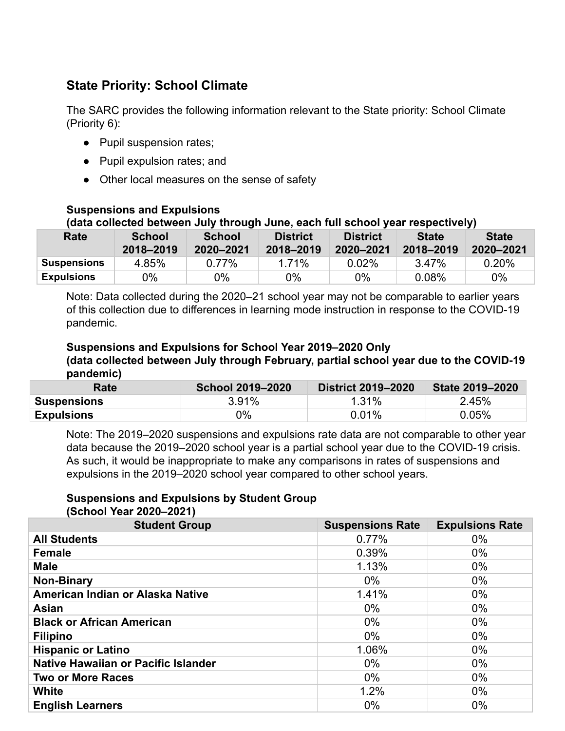# **State Priority: School Climate**

The SARC provides the following information relevant to the State priority: School Climate (Priority 6):

- Pupil suspension rates;
- Pupil expulsion rates; and
- Other local measures on the sense of safety

### **Suspensions and Expulsions**

### **(data collected between July through June, each full school year respectively)**

| Rate               | <b>School</b><br>2018-2019 | <b>School</b><br>2020-2021 | <b>District</b><br>2018-2019 | <b>District</b><br>2020-2021 | <b>State</b><br>2018-2019 | <b>State</b><br>2020-2021 |
|--------------------|----------------------------|----------------------------|------------------------------|------------------------------|---------------------------|---------------------------|
| <b>Suspensions</b> | 4.85%                      | $0.77\%$                   | 1 71%                        | $0.02\%$                     | 3.47%                     | $0.20\%$                  |
| <b>Expulsions</b>  | $0\%$                      | ገ%                         | 0%                           | $0\%$                        | $0.08\%$                  | 0%                        |

Note: Data collected during the 2020–21 school year may not be comparable to earlier years of this collection due to differences in learning mode instruction in response to the COVID-19 pandemic.

### **Suspensions and Expulsions for School Year 2019–2020 Only**

**(data collected between July through February, partial school year due to the COVID-19 pandemic)**

| Rate               | <b>School 2019-2020</b> | <b>District 2019-2020</b> | State 2019-2020 |
|--------------------|-------------------------|---------------------------|-----------------|
| <b>Suspensions</b> | 3.91%                   | $1.31\%$                  | 2.45%           |
| <b>Expulsions</b>  | 0%                      | 0.01%                     | $0.05\%$        |

Note: The 2019–2020 suspensions and expulsions rate data are not comparable to other year data because the 2019–2020 school year is a partial school year due to the COVID-19 crisis. As such, it would be inappropriate to make any comparisons in rates of suspensions and expulsions in the 2019–2020 school year compared to other school years.

#### **Suspensions and Expulsions by Student Group (School Year 2020–2021)**

| <b>Student Group</b>                | <b>Suspensions Rate</b> | <b>Expulsions Rate</b> |
|-------------------------------------|-------------------------|------------------------|
| <b>All Students</b>                 | 0.77%                   | $0\%$                  |
| <b>Female</b>                       | 0.39%                   | $0\%$                  |
| <b>Male</b>                         | 1.13%                   | $0\%$                  |
| <b>Non-Binary</b>                   | $0\%$                   | $0\%$                  |
| American Indian or Alaska Native    | 1.41%                   | $0\%$                  |
| Asian                               | $0\%$                   | $0\%$                  |
| <b>Black or African American</b>    | $0\%$                   | $0\%$                  |
| <b>Filipino</b>                     | $0\%$                   | $0\%$                  |
| <b>Hispanic or Latino</b>           | 1.06%                   | $0\%$                  |
| Native Hawaiian or Pacific Islander | $0\%$                   | $0\%$                  |
| <b>Two or More Races</b>            | $0\%$                   | $0\%$                  |
| White                               | 1.2%                    | $0\%$                  |
| <b>English Learners</b>             | $0\%$                   | $0\%$                  |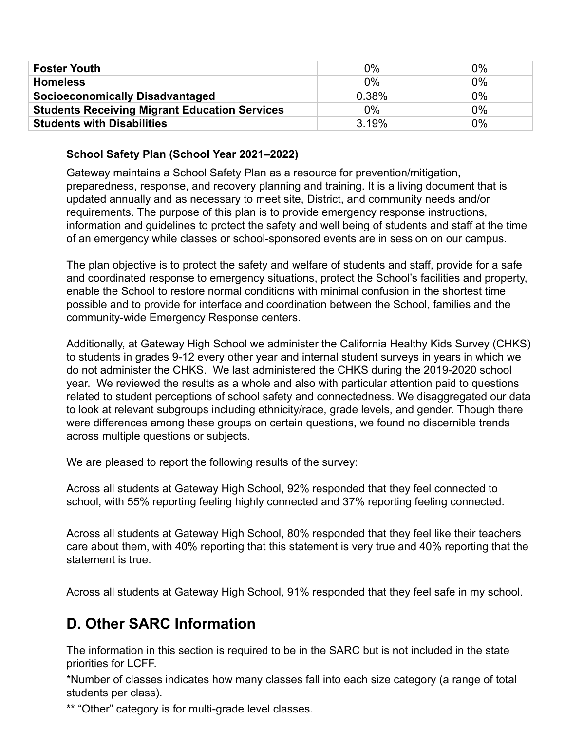| <b>Foster Youth</b>                                  | $0\%$ | $0\%$ |
|------------------------------------------------------|-------|-------|
| <b>Homeless</b>                                      | $0\%$ | $0\%$ |
| <b>Socioeconomically Disadvantaged</b>               | 0.38% | $0\%$ |
| <b>Students Receiving Migrant Education Services</b> | $0\%$ | $0\%$ |
| <b>Students with Disabilities</b>                    | 3.19% | $0\%$ |

### **School Safety Plan (School Year 2021–2022)**

Gateway maintains a School Safety Plan as a resource for prevention/mitigation, preparedness, response, and recovery planning and training. It is a living document that is updated annually and as necessary to meet site, District, and community needs and/or requirements. The purpose of this plan is to provide emergency response instructions, information and guidelines to protect the safety and well being of students and staff at the time of an emergency while classes or school-sponsored events are in session on our campus.

The plan objective is to protect the safety and welfare of students and staff, provide for a safe and coordinated response to emergency situations, protect the School's facilities and property, enable the School to restore normal conditions with minimal confusion in the shortest time possible and to provide for interface and coordination between the School, families and the community-wide Emergency Response centers.

Additionally, at Gateway High School we administer the California Healthy Kids Survey (CHKS) to students in grades 9-12 every other year and internal student surveys in years in which we do not administer the CHKS. We last administered the CHKS during the 2019-2020 school year. We reviewed the results as a whole and also with particular attention paid to questions related to student perceptions of school safety and connectedness. We disaggregated our data to look at relevant subgroups including ethnicity/race, grade levels, and gender. Though there were differences among these groups on certain questions, we found no discernible trends across multiple questions or subjects.

We are pleased to report the following results of the survey:

Across all students at Gateway High School, 92% responded that they feel connected to school, with 55% reporting feeling highly connected and 37% reporting feeling connected.

Across all students at Gateway High School, 80% responded that they feel like their teachers care about them, with 40% reporting that this statement is very true and 40% reporting that the statement is true.

Across all students at Gateway High School, 91% responded that they feel safe in my school.

# **D. Other SARC Information**

The information in this section is required to be in the SARC but is not included in the state priorities for LCFF.

\*Number of classes indicates how many classes fall into each size category (a range of total students per class).

\*\* "Other" category is for multi-grade level classes.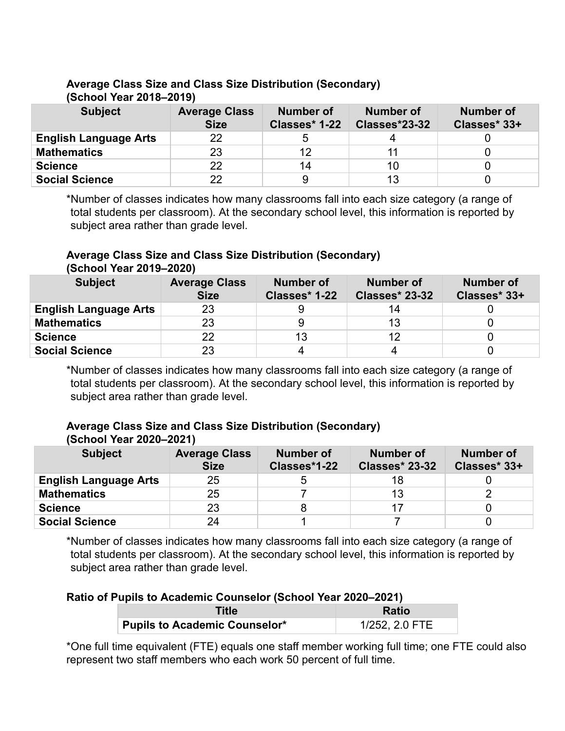| <u> Junuur Iuur Iuru Iuru</u> |                                     |                            |                                   |                                  |  |
|-------------------------------|-------------------------------------|----------------------------|-----------------------------------|----------------------------------|--|
| <b>Subject</b>                | <b>Average Class</b><br><b>Size</b> | Number of<br>Classes* 1-22 | <b>Number of</b><br>Classes*23-32 | <b>Number of</b><br>Classes* 33+ |  |
| <b>English Language Arts</b>  | 22                                  | ხ                          |                                   |                                  |  |
| <b>Mathematics</b>            | 23                                  | 12                         |                                   |                                  |  |
| <b>Science</b>                | 22                                  | 14                         | 10                                |                                  |  |
| <b>Social Science</b>         | 22                                  | 9                          | 13                                |                                  |  |

# **Average Class Size and Class Size Distribution (Secondary) (School Year 2018–2019)**

\*Number of classes indicates how many classrooms fall into each size category (a range of total students per classroom). At the secondary school level, this information is reported by subject area rather than grade level.

#### **Average Class Size and Class Size Distribution (Secondary) (School Year 2019–2020)**

| <b>Subject</b>               | <b>Average Class</b><br><b>Size</b> | <b>Number of</b><br>Classes* 1-22 | <b>Number of</b><br><b>Classes* 23-32</b> | <b>Number of</b><br>Classes* 33+ |  |
|------------------------------|-------------------------------------|-----------------------------------|-------------------------------------------|----------------------------------|--|
| <b>English Language Arts</b> | 23                                  |                                   |                                           |                                  |  |
| <b>Mathematics</b>           | 23                                  |                                   | 13                                        |                                  |  |
| <b>Science</b>               | 22                                  | 13                                |                                           |                                  |  |
| <b>Social Science</b>        | 23                                  |                                   |                                           |                                  |  |

\*Number of classes indicates how many classrooms fall into each size category (a range of total students per classroom). At the secondary school level, this information is reported by subject area rather than grade level.

#### **Average Class Size and Class Size Distribution (Secondary) (School Year 2020–2021)**

| <b>Subject</b>               | <b>Average Class</b><br><b>Size</b> | <b>Number of</b><br>Classes*1-22 | <b>Number of</b><br><b>Classes* 23-32</b> | <b>Number of</b><br>Classes* 33+ |
|------------------------------|-------------------------------------|----------------------------------|-------------------------------------------|----------------------------------|
| <b>English Language Arts</b> | 25                                  |                                  | 18                                        |                                  |
| <b>Mathematics</b>           | 25                                  |                                  | 13                                        |                                  |
| <b>Science</b>               | 23                                  |                                  |                                           |                                  |
| <b>Social Science</b>        | 24                                  |                                  |                                           |                                  |

\*Number of classes indicates how many classrooms fall into each size category (a range of total students per classroom). At the secondary school level, this information is reported by subject area rather than grade level.

## **Ratio of Pupils to Academic Counselor (School Year 2020–2021)**

| Title                                | <b>Ratio</b>   |  |
|--------------------------------------|----------------|--|
| <b>Pupils to Academic Counselor*</b> | 1/252, 2.0 FTE |  |

\*One full time equivalent (FTE) equals one staff member working full time; one FTE could also represent two staff members who each work 50 percent of full time.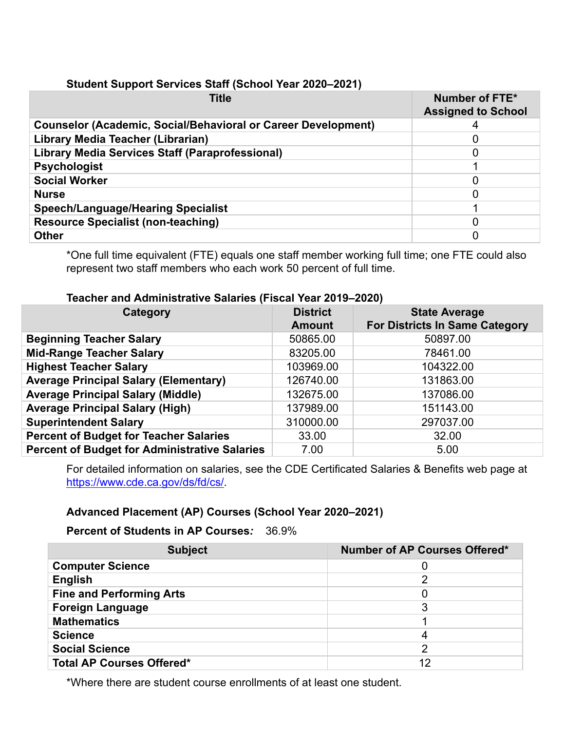### **Student Support Services Staff (School Year 2020–2021)**

| <b>Title</b>                                                         | Number of FTE*<br><b>Assigned to School</b> |
|----------------------------------------------------------------------|---------------------------------------------|
| <b>Counselor (Academic, Social/Behavioral or Career Development)</b> |                                             |
| Library Media Teacher (Librarian)                                    |                                             |
| <b>Library Media Services Staff (Paraprofessional)</b>               |                                             |
| <b>Psychologist</b>                                                  |                                             |
| <b>Social Worker</b>                                                 |                                             |
| <b>Nurse</b>                                                         |                                             |
| <b>Speech/Language/Hearing Specialist</b>                            |                                             |
| <b>Resource Specialist (non-teaching)</b>                            |                                             |
| <b>Other</b>                                                         |                                             |

\*One full time equivalent (FTE) equals one staff member working full time; one FTE could also represent two staff members who each work 50 percent of full time.

### **Teacher and Administrative Salaries (Fiscal Year 2019–2020)**

| Category                                             | <b>District</b><br><b>Amount</b> | <b>State Average</b><br><b>For Districts In Same Category</b> |
|------------------------------------------------------|----------------------------------|---------------------------------------------------------------|
| <b>Beginning Teacher Salary</b>                      | 50865.00                         | 50897.00                                                      |
| <b>Mid-Range Teacher Salary</b>                      | 83205.00                         | 78461.00                                                      |
| <b>Highest Teacher Salary</b>                        | 103969.00                        | 104322.00                                                     |
| <b>Average Principal Salary (Elementary)</b>         | 126740.00                        | 131863.00                                                     |
| <b>Average Principal Salary (Middle)</b>             | 132675.00                        | 137086.00                                                     |
| <b>Average Principal Salary (High)</b>               | 137989.00                        | 151143.00                                                     |
| <b>Superintendent Salary</b>                         | 310000.00                        | 297037.00                                                     |
| <b>Percent of Budget for Teacher Salaries</b>        | 33.00                            | 32.00                                                         |
| <b>Percent of Budget for Administrative Salaries</b> | 7.00                             | 5.00                                                          |

For detailed information on salaries, see the CDE Certificated Salaries & Benefits web page at [https://www.cde.ca.gov/ds/fd/cs/.](https://www.cde.ca.gov/ds/fd/cs/)

## **Advanced Placement (AP) Courses (School Year 2020–2021)**

**Percent of Students in AP Courses***:* 36.9%

| <b>Subject</b>                   | <b>Number of AP Courses Offered*</b> |
|----------------------------------|--------------------------------------|
| <b>Computer Science</b>          |                                      |
| <b>English</b>                   |                                      |
| <b>Fine and Performing Arts</b>  |                                      |
| <b>Foreign Language</b>          |                                      |
| <b>Mathematics</b>               |                                      |
| <b>Science</b>                   |                                      |
| <b>Social Science</b>            |                                      |
| <b>Total AP Courses Offered*</b> | 12                                   |

\*Where there are student course enrollments of at least one student.